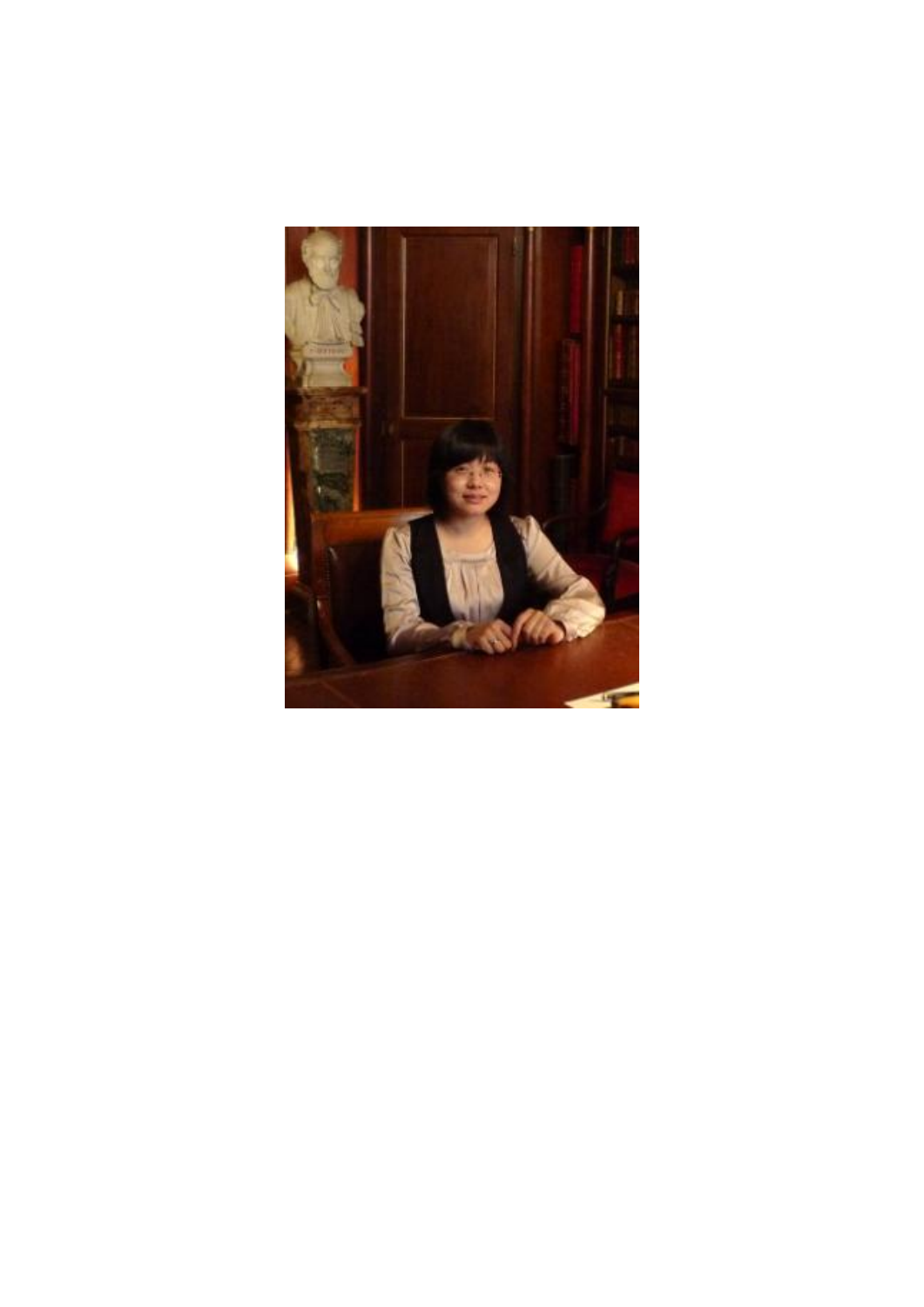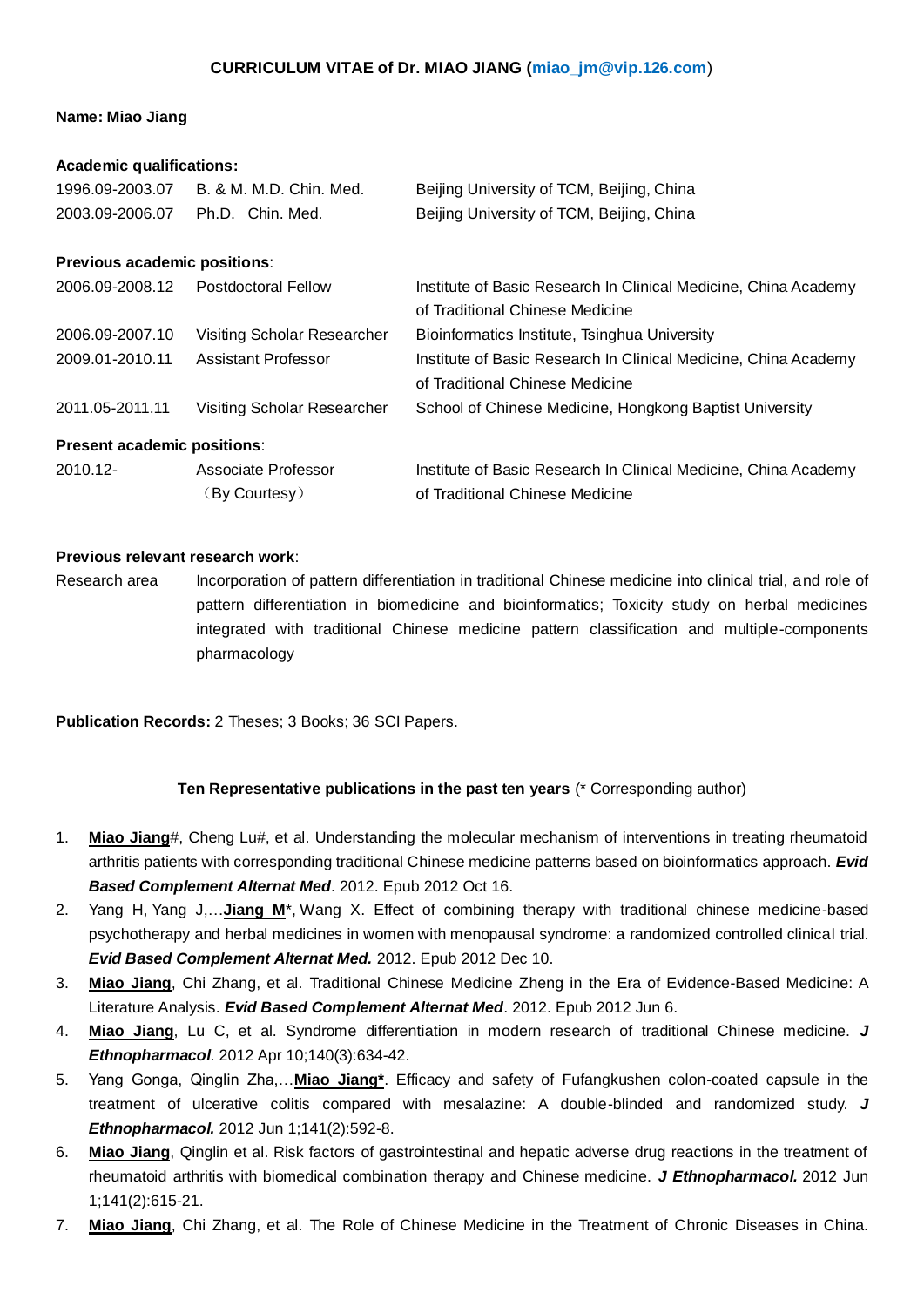# **CURRICULUM VITAE of Dr. MIAO JIANG [\(miao\\_jm@vip.126.com](mailto:miao_jm@vip.126.com)**)

## **Name: Miao Jiang**

#### **Academic qualifications:**

| 1996.09-2003.07 | B. & M. M.D. Chin. Med. | Beijing University of TCM, Beijing, China |
|-----------------|-------------------------|-------------------------------------------|
| 2003.09-2006.07 | Ph.D. Chin. Med.        | Beijing University of TCM, Beijing, China |

### **Previous academic positions**:

| 2006.09-2008.12                    | <b>Postdoctoral Fellow</b>  | Institute of Basic Research In Clinical Medicine, China Academy |
|------------------------------------|-----------------------------|-----------------------------------------------------------------|
|                                    |                             | of Traditional Chinese Medicine                                 |
| 2006.09-2007.10                    | Visiting Scholar Researcher | Bioinformatics Institute, Tsinghua University                   |
| 2009.01-2010.11                    | Assistant Professor         | Institute of Basic Research In Clinical Medicine, China Academy |
|                                    |                             | of Traditional Chinese Medicine                                 |
| 2011.05-2011.11                    | Visiting Scholar Researcher | School of Chinese Medicine, Hongkong Baptist University         |
| <b>Present academic positions:</b> |                             |                                                                 |
| 2010.12-                           | Associate Professor         | Institute of Basic Research In Clinical Medicine, China Academy |
|                                    | (By Courtesy)               | of Traditional Chinese Medicine                                 |

### **Previous relevant research work**:

Research area Incorporation of pattern differentiation in traditional Chinese medicine into clinical trial, and role of pattern differentiation in biomedicine and bioinformatics; Toxicity study on herbal medicines integrated with traditional Chinese medicine pattern classification and multiple-components pharmacology

**Publication Records:** 2 Theses; 3 Books; 36 SCI Papers.

## **Ten Representative publications in the past ten years** (\* Corresponding author)

- 1. **Miao Jiang**#, Cheng Lu#, et al. Understanding the molecular mechanism of interventions in treating rheumatoid arthritis patients with corresponding traditional Chinese medicine patterns based on bioinformatics approach. *Evid Based Complement Alternat Med*. 2012. Epub 2012 Oct 16.
- 2. [Yang H,](http://www.ncbi.nlm.nih.gov/pubmed?term=Yang%20H%5BAuthor%5D&cauthor=true&cauthor_uid=23304198) [Yang J,](http://www.ncbi.nlm.nih.gov/pubmed?term=Yang%20J%5BAuthor%5D&cauthor=true&cauthor_uid=23304198)…**[Jiang M](http://www.ncbi.nlm.nih.gov/pubmed?term=Jiang%20M%5BAuthor%5D&cauthor=true&cauthor_uid=23304198)**\*, [Wang X.](http://www.ncbi.nlm.nih.gov/pubmed?term=Wang%20X%5BAuthor%5D&cauthor=true&cauthor_uid=23304198) Effect of combining therapy with traditional chinese medicine-based psychotherapy and herbal medicines in women with menopausal syndrome: a randomized controlled clinical trial. *[Evid Based Complement Alternat Med.](http://www.ncbi.nlm.nih.gov/pubmed/23304198)* 2012. Epub 2012 Dec 10.
- 3. **Miao Jiang**, Chi Zhang, et al. Traditional Chinese Medicine Zheng in the Era of Evidence-Based Medicine: A Literature Analysis. *Evid Based Complement Alternat Med*. 2012. Epub 2012 Jun 6.
- 4. **Miao Jiang**, Lu C, et al. Syndrome differentiation in modern research of traditional Chinese medicine. *J Ethnopharmacol*. 2012 Apr 10;140(3):634-42.
- 5. Yang Gonga, Qinglin Zha,…**Miao Jiang\***. Efficacy and safety of Fufangkushen colon-coated capsule in the treatment of ulcerative colitis compared with mesalazine: A double-blinded and randomized study. *[J](http://www.ncbi.nlm.nih.gov/pubmed/21911045)  [Ethnopharmacol.](http://www.ncbi.nlm.nih.gov/pubmed/21911045)* 2012 Jun 1;141(2):592-8.
- 6. **Miao Jiang**, Qinglin et al. Risk factors of gastrointestinal and hepatic adverse drug reactions in the treatment of rheumatoid arthritis with biomedical combination therapy and Chinese medicine. *[J Ethnopharmacol.](http://www.ncbi.nlm.nih.gov/pubmed/21782923)* 2012 Jun 1;141(2):615-21.
- 7. **Miao Jiang**, Chi Zhang, et al. The Role of Chinese Medicine in the Treatment of Chronic Diseases in China.